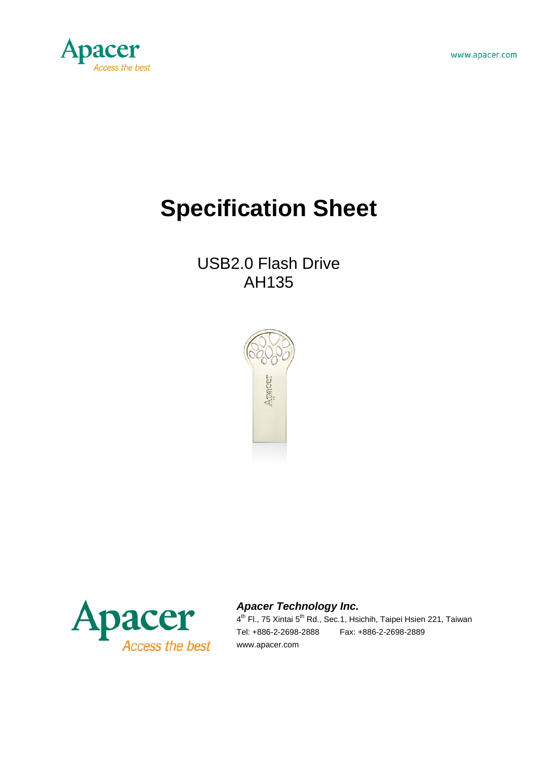

# **Specification Sheet**

## USB2.0 Flash Drive AH135





#### *Apacer Technology Inc.*

4<sup>th</sup> Fl., 75 Xintai 5<sup>th</sup> Rd., Sec.1, Hsichih, Taipei Hsien 221, Taiwan Tel: +886-2-2698-2888 Fax: +886-2-2698-2889 www.apacer.com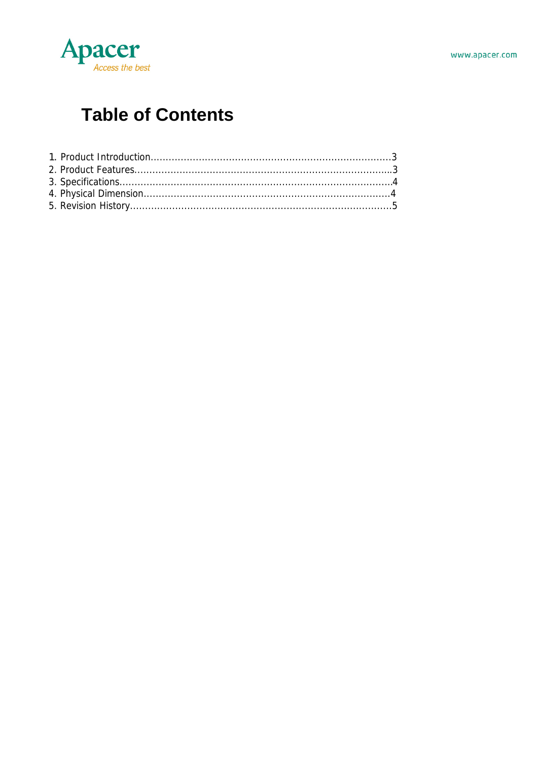

## **Table of Contents**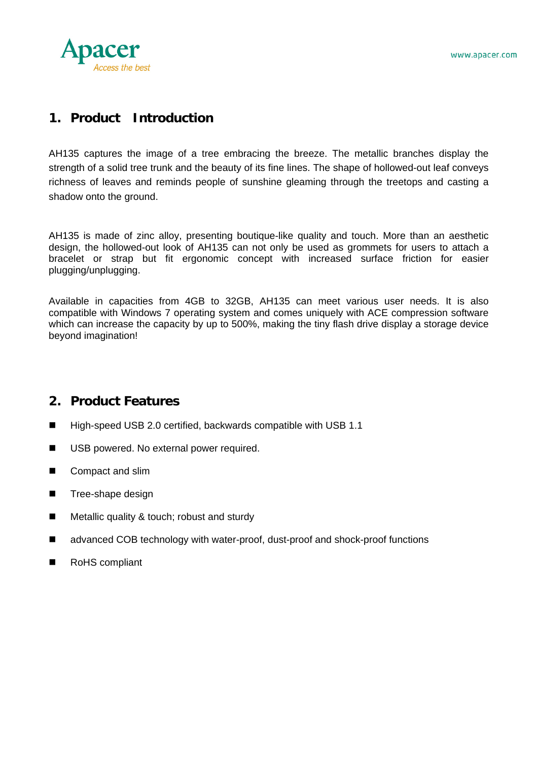

#### **1. Product Introduction**

AH135 captures the image of a tree embracing the breeze. The metallic branches display the strength of a solid tree trunk and the beauty of its fine lines. The shape of hollowed-out leaf conveys richness of leaves and reminds people of sunshine gleaming through the treetops and casting a shadow onto the ground.

AH135 is made of zinc alloy, presenting boutique-like quality and touch. More than an aesthetic design, the hollowed-out look of AH135 can not only be used as grommets for users to attach a bracelet or strap but fit ergonomic concept with increased surface friction for easier plugging/unplugging.

Available in capacities from 4GB to 32GB, AH135 can meet various user needs. It is also compatible with Windows 7 operating system and comes uniquely with ACE compression software which can increase the capacity by up to 500%, making the tiny flash drive display a storage device beyond imagination!

#### **2. Product Features**

- High-speed USB 2.0 certified, backwards compatible with USB 1.1
- USB powered. No external power required.
- Compact and slim
- **Tree-shape design**
- Metallic quality & touch; robust and sturdy
- advanced COB technology with water-proof, dust-proof and shock-proof functions
- RoHS compliant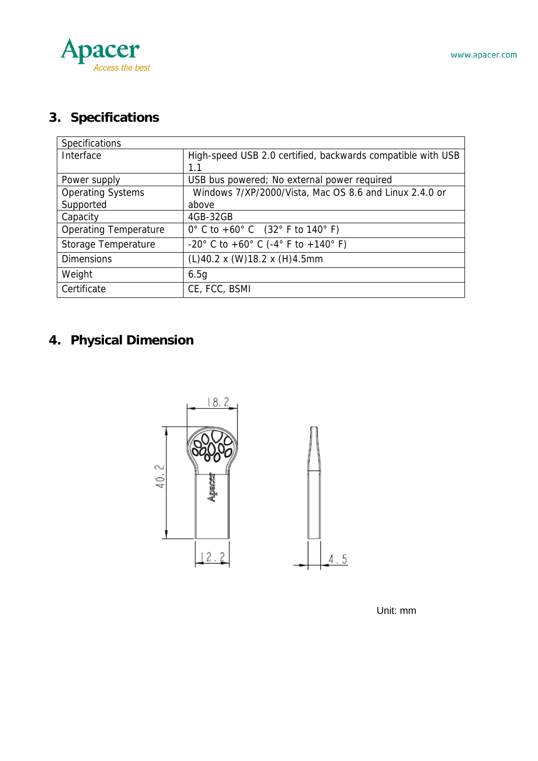

## **3. Specifications**

| <b>Specifications</b>        |                                                                          |
|------------------------------|--------------------------------------------------------------------------|
| Interface                    | High-speed USB 2.0 certified, backwards compatible with USB              |
|                              | 1.1                                                                      |
| Power supply                 | USB bus powered; No external power required                              |
| <b>Operating Systems</b>     | Windows 7/XP/2000/Vista, Mac OS 8.6 and Linux 2.4.0 or                   |
| Supported                    | above                                                                    |
| Capacity                     | 4GB-32GB                                                                 |
| <b>Operating Temperature</b> | $0^{\circ}$ C to +60° C (32° F to 140° F)                                |
| Storage Temperature          | $-20^{\circ}$ C to $+60^{\circ}$ C ( $-4^{\circ}$ F to $+140^{\circ}$ F) |
| <b>Dimensions</b>            | $(L)$ 40.2 x (W)18.2 x (H)4.5mm                                          |
| Weight                       | 6.5g                                                                     |
| Certificate                  | CE, FCC, BSMI                                                            |

## **4. Physical Dimension**